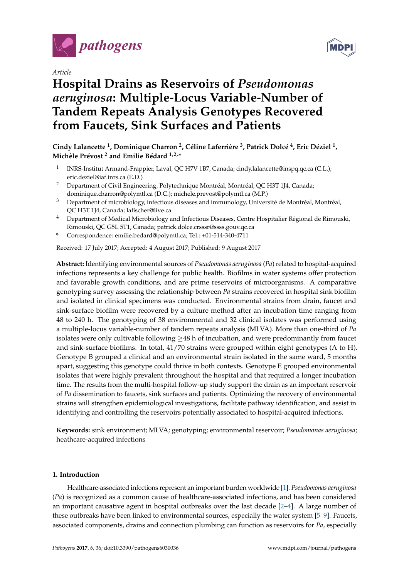

*Article*

# **Hospital Drains as Reservoirs of** *Pseudomonas aeruginosa***: Multiple-Locus Variable-Number of Tandem Repeats Analysis Genotypes Recovered from Faucets, Sink Surfaces and Patients**



- 1 INRS-Institut Armand-Frappier, Laval, QC H7V 1B7, Canada; cindy.lalancette@inspq.qc.ca (C.L.); eric.deziel@iaf.inrs.ca (E.D.)
- <sup>2</sup> Department of Civil Engineering, Polytechnique Montréal, Montréal, QC H3T 1J4, Canada; dominique.charron@polymtl.ca (D.C.); michele.prevost@polymtl.ca (M.P.)
- <sup>3</sup> Department of microbiology, infectious diseases and immunology, Université de Montréal, Montréal, QC H3T 1J4, Canada; lafischer@live.ca
- <sup>4</sup> Department of Medical Microbiology and Infectious Diseases, Centre Hospitalier Régional de Rimouski, Rimouski, QC G5L 5T1, Canada; patrick.dolce.crsssr@ssss.gouv.qc.ca
- **\*** Correspondence: emilie.bedard@polymtl.ca; Tel.: +01-514-340-4711

Received: 17 July 2017; Accepted: 4 August 2017; Published: 9 August 2017

**Abstract:** Identifying environmental sources of *Pseudomonas aeruginosa* (*Pa*) related to hospital-acquired infections represents a key challenge for public health. Biofilms in water systems offer protection and favorable growth conditions, and are prime reservoirs of microorganisms. A comparative genotyping survey assessing the relationship between *Pa* strains recovered in hospital sink biofilm and isolated in clinical specimens was conducted. Environmental strains from drain, faucet and sink-surface biofilm were recovered by a culture method after an incubation time ranging from 48 to 240 h. The genotyping of 38 environmental and 32 clinical isolates was performed using a multiple-locus variable-number of tandem repeats analysis (MLVA). More than one-third of *Pa* isolates were only cultivable following  $\geq 48$  h of incubation, and were predominantly from faucet and sink-surface biofilms. In total, 41/70 strains were grouped within eight genotypes (A to H). Genotype B grouped a clinical and an environmental strain isolated in the same ward, 5 months apart, suggesting this genotype could thrive in both contexts. Genotype E grouped environmental isolates that were highly prevalent throughout the hospital and that required a longer incubation time. The results from the multi-hospital follow-up study support the drain as an important reservoir of *Pa* dissemination to faucets, sink surfaces and patients. Optimizing the recovery of environmental strains will strengthen epidemiological investigations, facilitate pathway identification, and assist in identifying and controlling the reservoirs potentially associated to hospital-acquired infections.

**Keywords:** sink environment; MLVA; genotyping; environmental reservoir; *Pseudomonas aeruginosa*; heathcare-acquired infections

#### **1. Introduction**

Healthcare-associated infections represent an important burden worldwide [\[1\]](#page-8-0). *Pseudomonas aeruginosa* (*Pa*) is recognized as a common cause of healthcare-associated infections, and has been considered an important causative agent in hospital outbreaks over the last decade  $[2-4]$  $[2-4]$ . A large number of these outbreaks have been linked to environmental sources, especially the water system [\[5](#page-8-3)[–9\]](#page-8-4). Faucets, associated components, drains and connection plumbing can function as reservoirs for *Pa*, especially

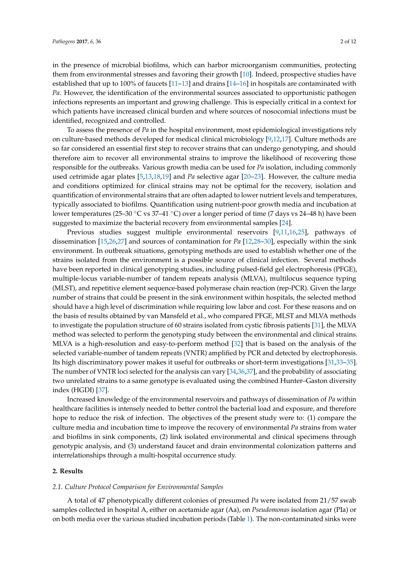in the presence of microbial biofilms, which can harbor microorganism communities, protecting them from environmental stresses and favoring their growth [\[10\]](#page-8-5). Indeed, prospective studies have established that up to 100% of faucets [\[11](#page-8-6)[–13\]](#page-8-7) and drains [\[14–](#page-8-8)[16\]](#page-9-0) in hospitals are contaminated with *Pa*. However, the identification of the environmental sources associated to opportunistic pathogen infections represents an important and growing challenge. This is especially critical in a context for which patients have increased clinical burden and where sources of nosocomial infections must be identified, recognized and controlled.

To assess the presence of *Pa* in the hospital environment, most epidemiological investigations rely on culture-based methods developed for medical clinical microbiology [\[9,](#page-8-4)[12,](#page-8-9)[17\]](#page-9-1). Culture methods are so far considered an essential first step to recover strains that can undergo genotyping, and should therefore aim to recover all environmental strains to improve the likelihood of recovering those responsible for the outbreaks. Various growth media can be used for *Pa* isolation, including commonly used cetrimide agar plates [\[5](#page-8-3)[,13](#page-8-7)[,18](#page-9-2)[,19\]](#page-9-3) and *Pa* selective agar [\[20–](#page-9-4)[23\]](#page-9-5). However, the culture media and conditions optimized for clinical strains may not be optimal for the recovery, isolation and quantification of environmental strains that are often adapted to lower nutrient levels and temperatures, typically associated to biofilms. Quantification using nutrient-poor growth media and incubation at lower temperatures (25–30 ◦C vs 37–41 ◦C) over a longer period of time (7 days vs 24–48 h) have been suggested to maximize the bacterial recovery from environmental samples [\[24\]](#page-9-6).

Previous studies suggest multiple environmental reservoirs [\[9,](#page-8-4)[11,](#page-8-6)[16,](#page-9-0)[25\]](#page-9-7), pathways of dissemination [\[15,](#page-8-10)[26,](#page-9-8)[27\]](#page-9-9) and sources of contamination for *Pa* [\[12](#page-8-9)[,28](#page-9-10)[–30\]](#page-9-11), especially within the sink environment. In outbreak situations, genotyping methods are used to establish whether one of the strains isolated from the environment is a possible source of clinical infection. Several methods have been reported in clinical genotyping studies, including pulsed-field gel electrophoresis (PFGE), multiple-locus variable-number of tandem repeats analysis (MLVA), multilocus sequence typing (MLST), and repetitive element sequence-based polymerase chain reaction (rep-PCR). Given the large number of strains that could be present in the sink environment within hospitals, the selected method should have a high level of discrimination while requiring low labor and cost. For these reasons and on the basis of results obtained by van Mansfeld et al., who compared PFGE, MLST and MLVA methods to investigate the population structure of 60 strains isolated from cystic fibrosis patients [\[31\]](#page-9-12), the MLVA method was selected to perform the genotyping study between the environmental and clinical strains. MLVA is a high-resolution and easy-to-perform method [\[32\]](#page-9-13) that is based on the analysis of the selected variable-number of tandem repeats (VNTR) amplified by PCR and detected by electrophoresis. Its high discriminatory power makes it useful for outbreaks or short-term investigations [\[31,](#page-9-12)[33–](#page-10-0)[35\]](#page-10-1). The number of VNTR loci selected for the analysis can vary [\[34](#page-10-2)[,36](#page-10-3)[,37\]](#page-10-4), and the probability of associating two unrelated strains to a same genotype is evaluated using the combined Hunter–Gaston diversity index (HGDI) [\[37\]](#page-10-4).

Increased knowledge of the environmental reservoirs and pathways of dissemination of *Pa* within healthcare facilities is intensely needed to better control the bacterial load and exposure, and therefore hope to reduce the risk of infection. The objectives of the present study were to: (1) compare the culture media and incubation time to improve the recovery of environmental *Pa* strains from water and biofilms in sink components, (2) link isolated environmental and clinical specimens through genotypic analysis, and (3) understand faucet and drain environmental colonization patterns and interrelationships through a multi-hospital occurrence study.

#### **2. Results**

#### *2.1. Culture Protocol Comparison for Environmental Samples*

A total of 47 phenotypically different colonies of presumed *Pa* were isolated from 21/57 swab samples collected in hospital A, either on acetamide agar (Aa), on *Pseudomonas* isolation agar (PIa) or on both media over the various studied incubation periods (Table [1\)](#page-2-0). The non-contaminated sinks were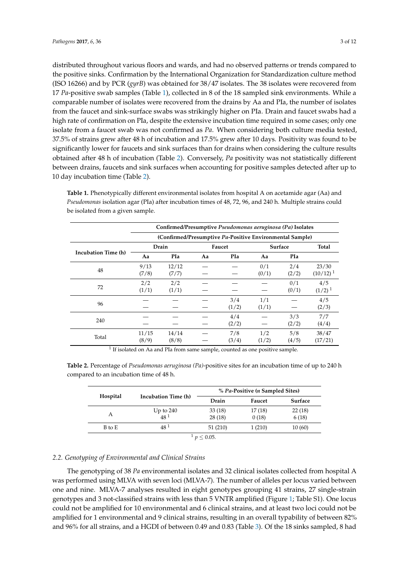distributed throughout various floors and wards, and had no observed patterns or trends compared to the positive sinks. Confirmation by the International Organization for Standardization culture method (ISO 16266) and by PCR (*gyrB*) was obtained for 38/47 isolates. The 38 isolates were recovered from 17 *Pa*-positive swab samples (Table [1\)](#page-2-0), collected in 8 of the 18 sampled sink environments. While a comparable number of isolates were recovered from the drains by Aa and PIa, the number of isolates from the faucet and sink-surface swabs was strikingly higher on PIa. Drain and faucet swabs had a high rate of confirmation on PIa, despite the extensive incubation time required in some cases; only one isolate from a faucet swab was not confirmed as *Pa*. When considering both culture media tested, 37.5% of strains grew after 48 h of incubation and 17.5% grew after 10 days. Positivity was found to be significantly lower for faucets and sink surfaces than for drains when considering the culture results obtained after 48 h of incubation (Table [2\)](#page-2-1). Conversely, *Pa* positivity was not statistically different between drains, faucets and sink surfaces when accounting for positive samples detected after up to 10 day incubation time (Table [2\)](#page-2-1).

|                     |                                                          | Confirmed/Presumptive Pseudomonas aeruginosa (Pa) Isolates |    |              |              |              |                        |  |  |  |  |  |  |  |  |
|---------------------|----------------------------------------------------------|------------------------------------------------------------|----|--------------|--------------|--------------|------------------------|--|--|--|--|--|--|--|--|
|                     | (Confirmed/Presumptive Pa-Positive Environmental Sample) |                                                            |    |              |              |              |                        |  |  |  |  |  |  |  |  |
|                     |                                                          | Drain                                                      |    | Faucet       | Surface      | Total        |                        |  |  |  |  |  |  |  |  |
| Incubation Time (h) | Aa                                                       | PIa                                                        | Aa | <b>PIa</b>   | Aa           | <b>PIa</b>   |                        |  |  |  |  |  |  |  |  |
| 48                  | 9/13<br>(7/8)                                            | 12/12<br>(7/7)                                             |    |              | 0/1<br>(0/1) | 2/4<br>(2/2) | 23/30<br>$(10/12)^{1}$ |  |  |  |  |  |  |  |  |
| 72                  | 2/2<br>(1/1)                                             | 2/2<br>(1/1)                                               |    |              |              | 0/1<br>(0/1) | 4/5<br>$(1/2)^1$       |  |  |  |  |  |  |  |  |
| 96                  |                                                          |                                                            |    | 3/4<br>(1/2) | 1/1<br>(1/1) |              | 4/5<br>(2/3)           |  |  |  |  |  |  |  |  |
| 240                 |                                                          |                                                            |    | 4/4<br>(2/2) |              | 3/3<br>(2/2) | 7/7<br>(4/4)           |  |  |  |  |  |  |  |  |
| Total               | 11/15<br>(8/9)                                           | 14/14<br>(8/8)                                             |    | 7/8<br>(3/4) | 1/2<br>(1/2) | 5/8<br>(4/5) | 38/47<br>(17/21)       |  |  |  |  |  |  |  |  |

<span id="page-2-0"></span>**Table 1.** Phenotypically different environmental isolates from hospital A on acetamide agar (Aa) and *Pseudomonas* isolation agar (PIa) after incubation times of 48, 72, 96, and 240 h. Multiple strains could be isolated from a given sample.

<sup>1</sup> If isolated on Aa and PIa from same sample, counted as one positive sample.

<span id="page-2-1"></span>**Table 2.** Percentage of *Pseudomonas aeruginosa (Pa)*-positive sites for an incubation time of up to 240 h compared to an incubation time of 48 h.

|          |                     | % Pa-Positive ( <i>n</i> Sampled Sites) |        |         |  |  |  |  |  |  |  |
|----------|---------------------|-----------------------------------------|--------|---------|--|--|--|--|--|--|--|
| Hospital | Incubation Time (h) | Drain                                   | Faucet | Surface |  |  |  |  |  |  |  |
| А        | Up to $240$         | 33(18)                                  | 17(18) | 22(18)  |  |  |  |  |  |  |  |
|          | 48 <sup>1</sup>     | 28(18)                                  | 0(18)  | 6(18)   |  |  |  |  |  |  |  |
| B to E   | 48 <sup>1</sup>     | 51 (210)                                | 1(210) | 10(60)  |  |  |  |  |  |  |  |
|          |                     | $< 0.05$ .                              |        |         |  |  |  |  |  |  |  |

## *2.2. Genotyping of Environmental and Clinical Strains*

The genotyping of 38 *Pa* environmental isolates and 32 clinical isolates collected from hospital A was performed using MLVA with seven loci (MLVA-7). The number of alleles per locus varied between one and nine. MLVA-7 analyses resulted in eight genotypes grouping 41 strains, 27 single-strain genotypes and 3 not-classified strains with less than 5 VNTR amplified (Figure [1;](#page-3-0) Table S1). One locus could not be amplified for 10 environmental and 6 clinical strains, and at least two loci could not be amplified for 1 environmental and 9 clinical strains, resulting in an overall typability of between 82% and 96% for all strains, and a HGDI of between 0.49 and 0.83 (Table [3\)](#page-3-1). Of the 18 sinks sampled, 8 had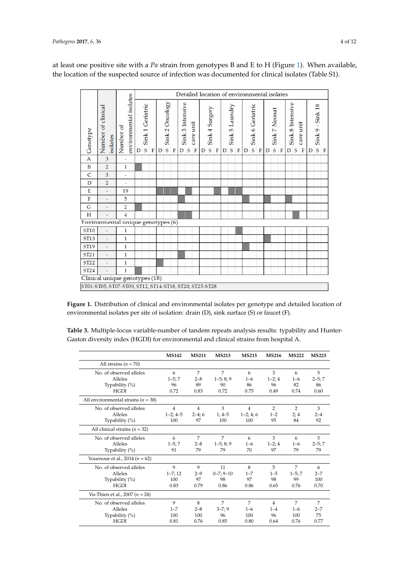<span id="page-3-0"></span>at least one positive site with a *Pa* strain from genotypes B and E to H (Figure [1\)](#page-3-0). When available, the location of the suspected source of infection was documented for clinical isolates (Table S1).

|                  |                                                        |              | Detailed location of environmental isolates |   |                                 |             |   |                           |             |                       |           |                          |   |                               |         |   |                          |   |   |                                 |        |   |                              |         |                                |                          |   |                                 |        |
|------------------|--------------------------------------------------------|--------------|---------------------------------------------|---|---------------------------------|-------------|---|---------------------------|-------------|-----------------------|-----------|--------------------------|---|-------------------------------|---------|---|--------------------------|---|---|---------------------------------|--------|---|------------------------------|---------|--------------------------------|--------------------------|---|---------------------------------|--------|
| Genotype         | Number of clinical<br>isolates                         | Number of    | environmental isolates                      | D | Sink 1 Geriatric<br>$\mathsf S$ | $\mathbf F$ | D | Sink 2 Oncology<br>$\,$ s | $\mathbf F$ | Sink 3 Intensive<br>D | ${\sf S}$ | care unit<br>$\mathbf F$ | D | Sink 4 Surgery<br>$\mathsf S$ | $\rm F$ | D | Sink 5 Laundry<br>$\,$ S | F | D | Sink 6 Geriatric<br>$\mathsf S$ | $\,$ F | D | Sink 7 Neonat<br>$\mathsf S$ | $\rm F$ | Sink 8 Intensive<br>$D \mid S$ | care unit<br>$\mathbf F$ | D | Sink 9 - Sink 18<br>$\mathsf S$ | $\,$ F |
| $\mathbf A$      | 3                                                      | ä,           |                                             |   |                                 |             |   |                           |             |                       |           |                          |   |                               |         |   |                          |   |   |                                 |        |   |                              |         |                                |                          |   |                                 |        |
| $\, {\bf B}$     | $\overline{2}$                                         | $\mathbf{1}$ |                                             |   |                                 |             |   |                           |             |                       |           |                          |   |                               |         |   |                          |   |   |                                 |        |   |                              |         |                                |                          |   |                                 |        |
| $\mathsf{C}$     | $\overline{\mathbf{3}}$                                | L,           |                                             |   |                                 |             |   |                           |             |                       |           |                          |   |                               |         |   |                          |   |   |                                 |        |   |                              |         |                                |                          |   |                                 |        |
| D                | $\overline{2}$                                         |              |                                             |   |                                 |             |   |                           |             |                       |           |                          |   |                               |         |   |                          |   |   |                                 |        |   |                              |         |                                |                          |   |                                 |        |
| E                | L,                                                     | 19           |                                             |   |                                 |             |   |                           |             |                       |           |                          |   |                               |         |   |                          |   |   |                                 |        |   |                              |         |                                |                          |   |                                 |        |
| $\mathbf F$      |                                                        | 5            |                                             |   |                                 |             |   |                           |             |                       |           |                          |   |                               |         |   |                          |   |   |                                 |        |   |                              |         |                                |                          |   |                                 |        |
| G                |                                                        | $\sqrt{2}$   |                                             |   |                                 |             |   |                           |             |                       |           |                          |   |                               |         |   |                          |   |   |                                 |        |   |                              |         |                                |                          |   |                                 |        |
| $\rm H$          |                                                        | $\sqrt{4}$   |                                             |   |                                 |             |   |                           |             |                       |           |                          |   |                               |         |   |                          |   |   |                                 |        |   |                              |         |                                |                          |   |                                 |        |
|                  | Environmental unique genotypes (6)                     |              |                                             |   |                                 |             |   |                           |             |                       |           |                          |   |                               |         |   |                          |   |   |                                 |        |   |                              |         |                                |                          |   |                                 |        |
| ST10             | L,                                                     | $\,1\,$      |                                             |   |                                 |             |   |                           |             |                       |           |                          |   |                               |         |   |                          |   |   |                                 |        |   |                              |         |                                |                          |   |                                 |        |
| ST <sub>13</sub> |                                                        | $\mathbf{1}$ |                                             |   |                                 |             |   |                           |             |                       |           |                          |   |                               |         |   |                          |   |   |                                 |        |   |                              |         |                                |                          |   |                                 |        |
| ST <sub>19</sub> |                                                        | $\mathbf 1$  |                                             |   |                                 |             |   |                           |             |                       |           |                          |   |                               |         |   |                          |   |   |                                 |        |   |                              |         |                                |                          |   |                                 |        |
| ST21             |                                                        | $\mathbf{1}$ |                                             |   |                                 |             |   |                           |             |                       |           |                          |   |                               |         |   |                          |   |   |                                 |        |   |                              |         |                                |                          |   |                                 |        |
| ST22             | ä,                                                     | $\mathbf{1}$ |                                             |   |                                 |             |   |                           |             |                       |           |                          |   |                               |         |   |                          |   |   |                                 |        |   |                              |         |                                |                          |   |                                 |        |
| ST24             | $1\,$                                                  |              |                                             |   |                                 |             |   |                           |             |                       |           |                          |   |                               |         |   |                          |   |   |                                 |        |   |                              |         |                                |                          |   |                                 |        |
|                  | Clinical unique genotypes (18)                         |              |                                             |   |                                 |             |   |                           |             |                       |           |                          |   |                               |         |   |                          |   |   |                                 |        |   |                              |         |                                |                          |   |                                 |        |
|                  | ST01-ST05, ST07-ST09, ST12, ST14-ST18, ST20, ST25-ST28 |              |                                             |   |                                 |             |   |                           |             |                       |           |                          |   |                               |         |   |                          |   |   |                                 |        |   |                              |         |                                |                          |   |                                 |        |

**Figure 1.** Distribution of clinical and environmental isolates per genotype and detailed location of **Figure 1.** Distribution of clinical and environmental isolates per genotype and detailed location of environmental isolates per site of isolation: drain (D), sink surface (S) or faucet (F). environmental isolates per site of isolation: drain (D), sink surface (S) or faucet (F).

<span id="page-3-1"></span>**Table 3.** Multiple-locus variable-number of tandem repeats analysis results: typability and Hunter– **Table 3.** Multiple-locus variable-number of tandem repeats analysis results: typability and Hunter- **MS142 MS211 MS213 MS215 MS216 MS222 MS223**  Gaston diversity index (HGDI) for environmental and clinical strains from hospital A.

|                                        | <b>MS142</b>   | <b>MS211</b>   | <b>MS213</b>    | <b>MS215</b>   | <b>MS216</b>   | <b>MS222</b>   | <b>MS223</b>   |
|----------------------------------------|----------------|----------------|-----------------|----------------|----------------|----------------|----------------|
| All strains $(n = 70)$                 |                |                |                 |                |                |                |                |
| No. of observed alleles                | 6              | 7              | $\overline{7}$  | 6              | 3              | 6              | 5              |
| Alleles                                | $1-5; 7$       | $2 - 8$        | $1-5; 8; 9$     | $1 - 6$        | $1-2; 4$       | $1 - 6$        | $2 - 5; 7$     |
| Typability (%)                         | 96             | 89             | 90              | 86             | 96             | 82             | 86             |
| <b>HGDI</b>                            | 0.72           | 0.83           | 0.72            | 0.75           | 0.49           | 0.74           | 0.60           |
| All environmental strains ( $n = 38$ ) |                |                |                 |                |                |                |                |
| No. of observed alleles                | $\overline{4}$ | $\overline{4}$ | 3               | $\overline{4}$ | $\overline{2}$ | $\overline{2}$ | 3              |
| Alleles                                | $1-2; 4-5$     | $2-4;6$        | $1; 4 - 5$      | $1-2; 4; 6$    | $1 - 2$        | 2:4            | $2 - 4$        |
| Typability (%)                         | 100            | 97             | 100             | 100            | 95             | 84             | 92             |
| All clinical strains $(n = 32)$        |                |                |                 |                |                |                |                |
| No. of observed alleles                | 6              | 7              | 7               | 6              | 3              | 6              | 5              |
| Alleles                                | $1 - 5:7$      | $2 - 8$        | $1-5; 8; 9$     | $1 - 6$        | $1-2; 4$       | $1 - 6$        | $2 - 5; 7$     |
| Typability (%)                         | 91             | 79             | 79              | 70             | 97             | 79             | 79             |
| Youenoue et al., $2014 (n = 62)$       |                |                |                 |                |                |                |                |
| No. of observed alleles                | 9              | 9              | 11              | 8              | 5              | 7              | 6              |
| Alleles                                | $1 - 7; 12$    | $2 - 9$        | $0 - 7; 9 - 10$ | $1 - 7$        | $1 - 5$        | $1 - 5; 7$     | $2 - 7$        |
| Typability (%)                         | 100            | 97             | 98              | 97             | 98             | 99             | 100            |
| <b>HGDI</b>                            | 0.83           | 0.79           | 0.86            | 0.86           | 0.65           | 0.76           | 0.70           |
| Vu-Thien et al., 2007 ( $n = 24$ )     |                |                |                 |                |                |                |                |
| No. of observed alleles                | 9              | 8              | $\overline{7}$  | $\overline{7}$ | $\overline{4}$ | 7              | $\overline{7}$ |
| Alleles                                | $1 - 7$        | $2 - 8$        | $3 - 7;9$       | $1 - 6$        | $1 - 4$        | $1 - 6$        | $2 - 7$        |
| Typability (%)                         | 100            | 100            | 96              | 100            | 96             | 100            | 75             |
| <b>HGDI</b>                            | 0.81           | 0.76           | 0.85            | 0.80           | 0.64           | 0.76           | 0.77           |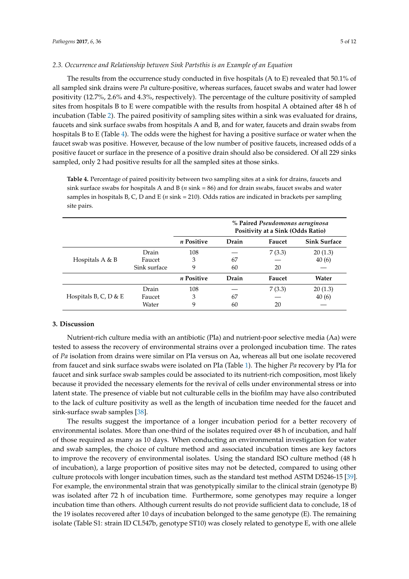#### *2.3. Occurrence and Relationship between Sink Partsthis is an Example of an Equation*

The results from the occurrence study conducted in five hospitals (A to E) revealed that 50.1% of all sampled sink drains were *Pa* culture-positive, whereas surfaces, faucet swabs and water had lower positivity (12.7%, 2.6% and 4.3%, respectively). The percentage of the culture positivity of sampled sites from hospitals B to E were compatible with the results from hospital A obtained after 48 h of incubation (Table [2\)](#page-2-1). The paired positivity of sampling sites within a sink was evaluated for drains, faucets and sink surface swabs from hospitals A and B, and for water, faucets and drain swabs from hospitals B to E (Table [4\)](#page-4-0). The odds were the highest for having a positive surface or water when the faucet swab was positive. However, because of the low number of positive faucets, increased odds of a positive faucet or surface in the presence of a positive drain should also be considered. Of all 229 sinks sampled, only 2 had positive results for all the sampled sites at those sinks.

<span id="page-4-0"></span>**Table 4.** Percentage of paired positivity between two sampling sites at a sink for drains, faucets and sink surface swabs for hospitals A and B (*n* sink = 86) and for drain swabs, faucet swabs and water samples in hospitals B, C, D and E (*n* sink = 210). Odds ratios are indicated in brackets per sampling site pairs.

|                       |              | % Paired Pseudomonas aeruginosa<br>Positivity at a Sink (Odds Ratio) |       |        |         |  |  |  |  |  |  |  |  |
|-----------------------|--------------|----------------------------------------------------------------------|-------|--------|---------|--|--|--|--|--|--|--|--|
|                       |              | n Positive<br><b>Sink Surface</b><br>Drain<br>Faucet                 |       |        |         |  |  |  |  |  |  |  |  |
|                       | Drain        | 108                                                                  |       | 7(3.3) | 20(1.3) |  |  |  |  |  |  |  |  |
| Hospitals $A \& B$    | Faucet       | 3                                                                    | 67    |        | 40(6)   |  |  |  |  |  |  |  |  |
|                       | Sink surface | 9                                                                    | 60    | 20     |         |  |  |  |  |  |  |  |  |
|                       |              | n Positive                                                           | Drain | Faucet | Water   |  |  |  |  |  |  |  |  |
|                       | Drain        | 108                                                                  |       | 7(3.3) | 20(1.3) |  |  |  |  |  |  |  |  |
| Hospitals B, C, D & E | Faucet       | 3                                                                    | 67    |        | 40(6)   |  |  |  |  |  |  |  |  |
|                       | Water        | 9                                                                    | 60    | 20     |         |  |  |  |  |  |  |  |  |

#### **3. Discussion**

Nutrient-rich culture media with an antibiotic (PIa) and nutrient-poor selective media (Aa) were tested to assess the recovery of environmental strains over a prolonged incubation time. The rates of *Pa* isolation from drains were similar on PIa versus on Aa, whereas all but one isolate recovered from faucet and sink surface swabs were isolated on PIa (Table [1\)](#page-2-0). The higher *Pa* recovery by PIa for faucet and sink surface swab samples could be associated to its nutrient-rich composition, most likely because it provided the necessary elements for the revival of cells under environmental stress or into latent state. The presence of viable but not culturable cells in the biofilm may have also contributed to the lack of culture positivity as well as the length of incubation time needed for the faucet and sink-surface swab samples [\[38\]](#page-10-5).

The results suggest the importance of a longer incubation period for a better recovery of environmental isolates. More than one-third of the isolates required over 48 h of incubation, and half of those required as many as 10 days. When conducting an environmental investigation for water and swab samples, the choice of culture method and associated incubation times are key factors to improve the recovery of environmental isolates. Using the standard ISO culture method (48 h of incubation), a large proportion of positive sites may not be detected, compared to using other culture protocols with longer incubation times, such as the standard test method ASTM D5246-15 [\[39\]](#page-10-6). For example, the environmental strain that was genotypically similar to the clinical strain (genotype B) was isolated after 72 h of incubation time. Furthermore, some genotypes may require a longer incubation time than others. Although current results do not provide sufficient data to conclude, 18 of the 19 isolates recovered after 10 days of incubation belonged to the same genotype (E). The remaining isolate (Table S1: strain ID CL547b, genotype ST10) was closely related to genotype E, with one allele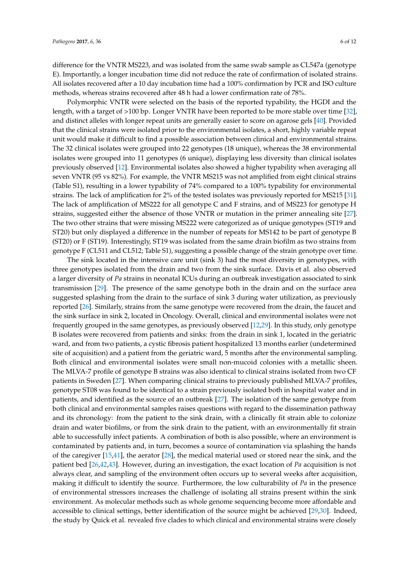difference for the VNTR MS223, and was isolated from the same swab sample as CL547a (genotype E). Importantly, a longer incubation time did not reduce the rate of confirmation of isolated strains. All isolates recovered after a 10 day incubation time had a 100% confirmation by PCR and ISO culture methods, whereas strains recovered after 48 h had a lower confirmation rate of 78%.

Polymorphic VNTR were selected on the basis of the reported typability, the HGDI and the length, with a target of >100 bp. Longer VNTR have been reported to be more stable over time [\[32\]](#page-9-13), and distinct alleles with longer repeat units are generally easier to score on agarose gels [\[40\]](#page-10-7). Provided that the clinical strains were isolated prior to the environmental isolates, a short, highly variable repeat unit would make it difficult to find a possible association between clinical and environmental strains. The 32 clinical isolates were grouped into 22 genotypes (18 unique), whereas the 38 environmental isolates were grouped into 11 genotypes (6 unique), displaying less diversity than clinical isolates previously observed [\[12\]](#page-8-9). Environmental isolates also showed a higher typability when averaging all seven VNTR (95 vs 82%). For example, the VNTR MS215 was not amplified from eight clinical strains (Table S1), resulting in a lower typability of 74% compared to a 100% typability for environmental strains. The lack of amplification for 2% of the tested isolates was previously reported for MS215 [\[31\]](#page-9-12). The lack of amplification of MS222 for all genotype C and F strains, and of MS223 for genotype H strains, suggested either the absence of those VNTR or mutation in the primer annealing site [\[27\]](#page-9-9). The two other strains that were missing MS222 were categorized as of unique genotypes (ST19 and ST20) but only displayed a difference in the number of repeats for MS142 to be part of genotype B (ST20) or F (ST19). Interestingly, ST19 was isolated from the same drain biofilm as two strains from genotype F (CL511 and CL512; Table S1), suggesting a possible change of the strain genotype over time.

The sink located in the intensive care unit (sink 3) had the most diversity in genotypes, with three genotypes isolated from the drain and two from the sink surface. Davis et al. also observed a larger diversity of *Pa* strains in neonatal ICUs during an outbreak investigation associated to sink transmission [\[29\]](#page-9-14). The presence of the same genotype both in the drain and on the surface area suggested splashing from the drain to the surface of sink 3 during water utilization, as previously reported [\[26\]](#page-9-8). Similarly, strains from the same genotype were recovered from the drain, the faucet and the sink surface in sink 2, located in Oncology. Overall, clinical and environmental isolates were not frequently grouped in the same genotypes, as previously observed [\[12,](#page-8-9)[29\]](#page-9-14). In this study, only genotype B isolates were recovered from patients and sinks: from the drain in sink 1, located in the geriatric ward, and from two patients, a cystic fibrosis patient hospitalized 13 months earlier (undetermined site of acquisition) and a patient from the geriatric ward, 5 months after the environmental sampling. Both clinical and environmental isolates were small non-mucoid colonies with a metallic sheen. The MLVA-7 profile of genotype B strains was also identical to clinical strains isolated from two CF patients in Sweden [\[27\]](#page-9-9). When comparing clinical strains to previously published MLVA-7 profiles, genotype ST08 was found to be identical to a strain previously isolated both in hospital water and in patients, and identified as the source of an outbreak [\[27\]](#page-9-9). The isolation of the same genotype from both clinical and environmental samples raises questions with regard to the dissemination pathway and its chronology: from the patient to the sink drain, with a clinically fit strain able to colonize drain and water biofilms, or from the sink drain to the patient, with an environmentally fit strain able to successfully infect patients. A combination of both is also possible, where an environment is contaminated by patients and, in turn, becomes a source of contamination via splashing the hands of the caregiver [\[15](#page-8-10)[,41\]](#page-10-8), the aerator [\[28\]](#page-9-10), the medical material used or stored near the sink, and the patient bed [\[26](#page-9-8)[,42](#page-10-9)[,43\]](#page-10-10). However, during an investigation, the exact location of *Pa* acquisition is not always clear, and sampling of the environment often occurs up to several weeks after acquisition, making it difficult to identify the source. Furthermore, the low culturability of *Pa* in the presence of environmental stressors increases the challenge of isolating all strains present within the sink environment. As molecular methods such as whole genome sequencing become more affordable and accessible to clinical settings, better identification of the source might be achieved [\[29,](#page-9-14)[30\]](#page-9-11). Indeed, the study by Quick et al. revealed five clades to which clinical and environmental strains were closely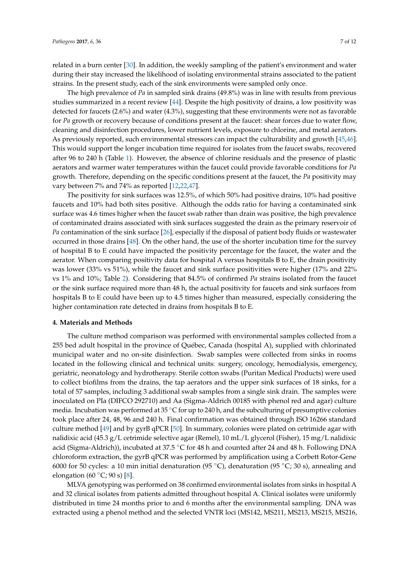related in a burn center [\[30\]](#page-9-11). In addition, the weekly sampling of the patient's environment and water during their stay increased the likelihood of isolating environmental strains associated to the patient strains. In the present study, each of the sink environments were sampled only once.

The high prevalence of *Pa* in sampled sink drains (49.8%) was in line with results from previous studies summarized in a recent review [\[44\]](#page-10-11). Despite the high positivity of drains, a low positivity was detected for faucets (2.6%) and water (4.3%), suggesting that these environments were not as favorable for *Pa* growth or recovery because of conditions present at the faucet: shear forces due to water flow, cleaning and disinfection procedures, lower nutrient levels, exposure to chlorine, and metal aerators. As previously reported, such environmental stressors can impact the culturability and growth [\[45](#page-10-12)[,46\]](#page-10-13). This would support the longer incubation time required for isolates from the faucet swabs, recovered after 96 to 240 h (Table [1\)](#page-2-0). However, the absence of chlorine residuals and the presence of plastic aerators and warmer water temperatures within the faucet could provide favorable conditions for *Pa* growth. Therefore, depending on the specific conditions present at the faucet, the *Pa* positivity may vary between 7% and 74% as reported [\[12](#page-8-9)[,22](#page-9-15)[,47\]](#page-10-14).

The positivity for sink surfaces was 12.5%, of which 50% had positive drains, 10% had positive faucets and 10% had both sites positive. Although the odds ratio for having a contaminated sink surface was 4.6 times higher when the faucet swab rather than drain was positive, the high prevalence of contaminated drains associated with sink surfaces suggested the drain as the primary reservoir of *Pa* contamination of the sink surface [\[26\]](#page-9-8), especially if the disposal of patient body fluids or wastewater occurred in those drains [\[48\]](#page-10-15). On the other hand, the use of the shorter incubation time for the survey of hospital B to E could have impacted the positivity percentage for the faucet, the water and the aerator. When comparing positivity data for hospital A versus hospitals B to E, the drain positivity was lower (33% vs 51%), while the faucet and sink surface positivities were higher (17% and 22% vs 1% and 10%; Table [2\)](#page-2-1). Considering that 84.5% of confirmed *Pa* strains isolated from the faucet or the sink surface required more than 48 h, the actual positivity for faucets and sink surfaces from hospitals B to E could have been up to 4.5 times higher than measured, especially considering the higher contamination rate detected in drains from hospitals B to E.

#### **4. Materials and Methods**

The culture method comparison was performed with environmental samples collected from a 255 bed adult hospital in the province of Québec, Canada (hospital A), supplied with chlorinated municipal water and no on-site disinfection. Swab samples were collected from sinks in rooms located in the following clinical and technical units: surgery, oncology, hemodialysis, emergency, geriatric, neonatology and hydrotherapy. Sterile cotton swabs (Puritan Medical Products) were used to collect biofilms from the drains, the tap aerators and the upper sink surfaces of 18 sinks, for a total of 57 samples, including 3 additional swab samples from a single sink drain. The samples were inoculated on PIa (DIFCO 292710) and Aa (Sigma-Aldrich 00185 with phenol red and agar) culture media. Incubation was performed at  $35^{\circ}$ C for up to 240 h, and the subculturing of presumptive colonies took place after 24, 48, 96 and 240 h. Final confirmation was obtained through ISO 16266 standard culture method [\[49\]](#page-11-0) and by gyrB qPCR [\[50\]](#page-11-1). In summary, colonies were plated on cetrimide agar with nalidixic acid (45.3 g/L cetrimide selective agar (Remel), 10 mL/L glycerol (Fisher), 15 mg/L nalidixic acid (Sigma-Aldrich)), incubated at 37.5 ◦C for 48 h and counted after 24 and 48 h. Following DNA chloroform extraction, the gyrB qPCR was performed by amplification using a Corbett Rotor-Gene 6000 for 50 cycles: a 10 min initial denaturation (95 °C), denaturation (95 °C; 30 s), annealing and elongation (60  $°C$ ; 90 s) [\[8\]](#page-8-11).

MLVA genotyping was performed on 38 confirmed environmental isolates from sinks in hospital A and 32 clinical isolates from patients admitted throughout hospital A. Clinical isolates were uniformly distributed in time 24 months prior to and 6 months after the environmental sampling. DNA was extracted using a phenol method and the selected VNTR loci (MS142, MS211, MS213, MS215, MS216,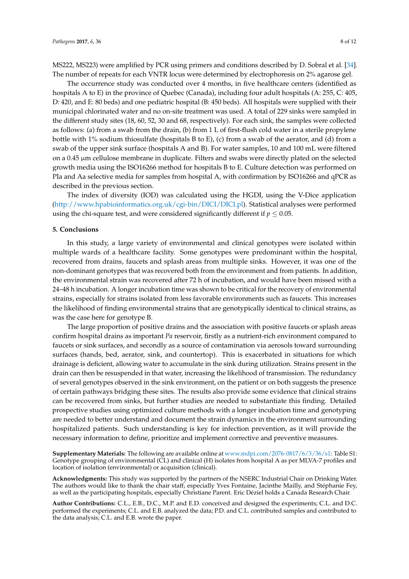MS222, MS223) were amplified by PCR using primers and conditions described by D. Sobral et al. [\[34\]](#page-10-2). The number of repeats for each VNTR locus were determined by electrophoresis on 2% agarose gel.

The occurrence study was conducted over 4 months, in five healthcare centers (identified as hospitals A to E) in the province of Quebec (Canada), including four adult hospitals (A: 255, C: 405, D: 420, and E: 80 beds) and one pediatric hospital (B: 450 beds). All hospitals were supplied with their municipal chlorinated water and no on-site treatment was used. A total of 229 sinks were sampled in the different study sites (18, 60, 52, 30 and 68, respectively). For each sink, the samples were collected as follows: (a) from a swab from the drain, (b) from 1 L of first-flush cold water in a sterile propylene bottle with 1% sodium thiosulfate (hospitals B to E), (c) from a swab of the aerator, and (d) from a swab of the upper sink surface (hospitals A and B). For water samples, 10 and 100 mL were filtered on a 0.45 µm cellulose membrane in duplicate. Filters and swabs were directly plated on the selected growth media using the ISO16266 method for hospitals B to E. Culture detection was performed on PIa and Aa selective media for samples from hospital A, with confirmation by ISO16266 and qPCR as described in the previous section.

The index of diversity (IOD) was calculated using the HGDI, using the V-Dice application [\(http://www.hpabioinformatics.org.uk/cgi-bin/DICI/DICI.pl\)](http://www.hpabioinformatics.org.uk/cgi-bin/DICI/DICI.pl). Statistical analyses were performed using the chi-square test, and were considered significantly different if  $p \leq 0.05$ .

#### **5. Conclusions**

In this study, a large variety of environmental and clinical genotypes were isolated within multiple wards of a healthcare facility. Some genotypes were predominant within the hospital, recovered from drains, faucets and splash areas from multiple sinks. However, it was one of the non-dominant genotypes that was recovered both from the environment and from patients. In addition, the environmental strain was recovered after 72 h of incubation, and would have been missed with a 24–48 h incubation. A longer incubation time was shown to be critical for the recovery of environmental strains, especially for strains isolated from less favorable environments such as faucets. This increases the likelihood of finding environmental strains that are genotypically identical to clinical strains, as was the case here for genotype B.

The large proportion of positive drains and the association with positive faucets or splash areas confirm hospital drains as important *Pa* reservoir, firstly as a nutrient-rich environment compared to faucets or sink surfaces, and secondly as a source of contamination via aerosols toward surrounding surfaces (hands, bed, aerator, sink, and countertop). This is exacerbated in situations for which drainage is deficient, allowing water to accumulate in the sink during utilization. Strains present in the drain can then be resuspended in that water, increasing the likelihood of transmission. The redundancy of several genotypes observed in the sink environment, on the patient or on both suggests the presence of certain pathways bridging these sites. The results also provide some evidence that clinical strains can be recovered from sinks, but further studies are needed to substantiate this finding. Detailed prospective studies using optimized culture methods with a longer incubation time and genotyping are needed to better understand and document the strain dynamics in the environment surrounding hospitalized patients. Such understanding is key for infection prevention, as it will provide the necessary information to define, prioritize and implement corrective and preventive measures.

**Supplementary Materials:** The following are available online at [www.mdpi.com/2076-0817/6/3/36/s1:](www.mdpi.com/2076-0817/6/3/36/s1) Table S1: Genotype grouping of environmental (CL) and clinical (H) isolates from hospital A as per MLVA-7 profiles and location of isolation (environmental) or acquisition (clinical).

**Acknowledgments:** This study was supported by the partners of the NSERC Industrial Chair on Drinking Water. The authors would like to thank the chair staff, especially Yves Fontaine, Jacinthe Mailly, and Stéphanie Fey, as well as the participating hospitals, especially Christiane Parent. Eric Déziel holds a Canada Research Chair.

**Author Contributions:** C.L., E.B., D.C., M.P. and E.D. conceived and designed the experiments; C.L. and D.C. performed the experiments; C.L. and E.B. analyzed the data; P.D. and C.L. contributed samples and contributed to the data analysis; C.L. and E.B. wrote the paper.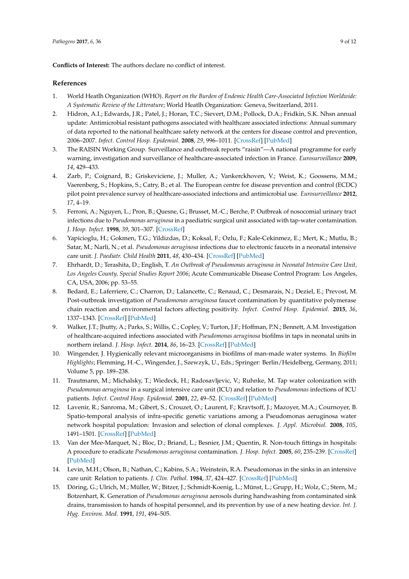**Conflicts of Interest:** The authors declare no conflict of interest.

### **References**

- <span id="page-8-0"></span>1. World Heatlh Organization (WHO). *Report on the Burden of Endemic Health Care-Associated Infection Worldwide: A Systematic Review of the Litterature*; World Heatlh Organization: Geneva, Switzerland, 2011.
- <span id="page-8-1"></span>2. Hidron, A.I.; Edwards, J.R.; Patel, J.; Horan, T.C.; Sievert, D.M.; Pollock, D.A.; Fridkin, S.K. Nhsn annual update: Antimicrobial resistant pathogens associated with healthcare associated infections: Annual summary of data reported to the national healthcare safety network at the centers for disease control and prevention, 2006–2007. *Infect. Control Hosp. Epidemiol.* **2008**, *29*, 996–1011. [\[CrossRef\]](http://dx.doi.org/10.1086/591861) [\[PubMed\]](http://www.ncbi.nlm.nih.gov/pubmed/18947320)
- 3. The RAISIN Working Group. Surveillance and outbreak reports "raisin"—A national programme for early warning, investigation and surveillance of healthcare-associated infection in France. *Eurosurveillance* **2009**, *14*, 429–433.
- <span id="page-8-2"></span>4. Zarb, P.; Coignard, B.; Griskeviciene, J.; Muller, A.; Vankerckhoven, V.; Weist, K.; Goossens, M.M.; Vaerenberg, S.; Hopkins, S.; Catry, B.; et al. The European centre for disease prevention and control (ECDC) pilot point prevalence survey of healthcare-associated infections and antimicrobial use. *Eurosurveillance* **2012**, *17*, 4–19.
- <span id="page-8-3"></span>5. Ferroni, A.; Nguyen, L.; Pron, B.; Quesne, G.; Brusset, M.-C.; Berche, P. Outbreak of nosocomial urinary tract infections due to *Pseudomonas aeruginosa* in a paediatric surgical unit associated with tap-water contamination. *J. Hosp. Infect.* **1998**, *39*, 301–307. [\[CrossRef\]](http://dx.doi.org/10.1016/S0195-6701(98)90295-X)
- 6. Yapicioglu, H.; Gokmen, T.G.; Yildizdas, D.; Koksal, F.; Ozlu, F.; Kale-Cekinmez, E.; Mert, K.; Mutlu, B.; Satar, M.; Narli, N.; et al. *Pseudomonas aeruginosa* infections due to electronic faucets in a neonatal intensive care unit. *J. Paediatr. Child Health* **2011**, *48*, 430–434. [\[CrossRef\]](http://dx.doi.org/10.1111/j.1440-1754.2011.02248.x) [\[PubMed\]](http://www.ncbi.nlm.nih.gov/pubmed/22085434)
- 7. Ehrhardt, D.; Terashita, D.; English, T. *An Outbreak of Pseudomonas aeruginosa in Neonatal Intensive Care Unit, Los Angeles County, Special Studies Report 2006*; Acute Communicable Disease Control Program: Los Angeles, CA, USA, 2006; pp. 53–55.
- <span id="page-8-11"></span>8. Bedard, E.; Laferriere, C.; Charron, D.; Lalancette, C.; Renaud, C.; Desmarais, N.; Deziel, E.; Prevost, M. Post-outbreak investigation of *Pseudomonas aeruginosa* faucet contamination by quantitative polymerase chain reaction and environmental factors affecting positivity. *Infect. Control Hosp. Epidemiol.* **2015**, *36*, 1337–1343. [\[CrossRef\]](http://dx.doi.org/10.1017/ice.2015.168) [\[PubMed\]](http://www.ncbi.nlm.nih.gov/pubmed/26190556)
- <span id="page-8-4"></span>9. Walker, J.T.; Jhutty, A.; Parks, S.; Willis, C.; Copley, V.; Turton, J.F.; Hoffman, P.N.; Bennett, A.M. Investigation of healthcare-acquired infections associated with *Pseudomonas aeruginosa* biofilms in taps in neonatal units in northern ireland. *J. Hosp. Infect.* **2014**, *86*, 16–23. [\[CrossRef\]](http://dx.doi.org/10.1016/j.jhin.2013.10.003) [\[PubMed\]](http://www.ncbi.nlm.nih.gov/pubmed/24284020)
- <span id="page-8-5"></span>10. Wingender, J. Hygienically relevant microorganisms in biofilms of man-made water systems. In *Biofilm Highlights*; Flemming, H.-C., Wingender, J., Szewzyk, U., Eds.; Springer: Berlin/Heidelberg, Germany, 2011; Volume 5, pp. 189–238.
- <span id="page-8-6"></span>11. Trautmann, M.; Michalsky, T.; Wiedeck, H.; Radosavljevic, V.; Ruhnke, M. Tap water colonization with *Pseudomonas aeruginosa* in a surgical intensive care unit (ICU) and relation to *Pseudomonas* infections of ICU patients. *Infect. Control Hosp. Epidemiol.* **2001**, *22*, 49–52. [\[CrossRef\]](http://dx.doi.org/10.1086/501828) [\[PubMed\]](http://www.ncbi.nlm.nih.gov/pubmed/11198025)
- <span id="page-8-9"></span>12. Lavenir, R.; Sanroma, M.; Gibert, S.; Crouzet, O.; Laurent, F.; Kravtsoff, J.; Mazoyer, M.A.; Cournoyer, B. Spatio-temporal analysis of infra-specific genetic variations among a Pseudomonas aeruginosa water network hospital population: Invasion and selection of clonal complexes. *J. Appl. Microbiol.* **2008**, *105*, 1491–1501. [\[CrossRef\]](http://dx.doi.org/10.1111/j.1365-2672.2008.03907.x) [\[PubMed\]](http://www.ncbi.nlm.nih.gov/pubmed/19146487)
- <span id="page-8-7"></span>13. Van der Mee-Marquet, N.; Bloc, D.; Briand, L.; Besnier, J.M.; Quentin, R. Non-touch fittings in hospitals: A procedure to eradicate *Pseudomonas aeruginosa* contamination. *J. Hosp. Infect.* **2005**, *60*, 235–239. [\[CrossRef\]](http://dx.doi.org/10.1016/j.jhin.2004.11.023) [\[PubMed\]](http://www.ncbi.nlm.nih.gov/pubmed/15949615)
- <span id="page-8-8"></span>14. Levin, M.H.; Olson, B.; Nathan, C.; Kabins, S.A.; Weinstein, R.A. Pseudomonas in the sinks in an intensive care unit: Relation to patients. *J. Clin. Pathol.* **1984**, *37*, 424–427. [\[CrossRef\]](http://dx.doi.org/10.1136/jcp.37.4.424) [\[PubMed\]](http://www.ncbi.nlm.nih.gov/pubmed/6423700)
- <span id="page-8-10"></span>15. Döring, G.; Ulrich, M.; Müller, W.; Bitzer, J.; Schmidt-Koenig, L.; Münst, L.; Grupp, H.; Wolz, C.; Stern, M.; Botzenhart, K. Generation of *Pseudomonas aeruginosa* aerosols during handwashing from contaminated sink drains, transmission to hands of hospital personnel, and its prevention by use of a new heating device. *Int. J. Hyg. Environ. Med.* **1991**, *191*, 494–505.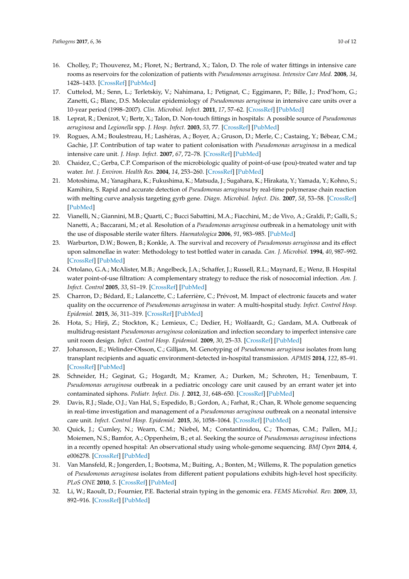- <span id="page-9-0"></span>16. Cholley, P.; Thouverez, M.; Floret, N.; Bertrand, X.; Talon, D. The role of water fittings in intensive care rooms as reservoirs for the colonization of patients with *Pseudomonas aeruginosa*. *Intensive Care Med.* **2008**, *34*, 1428–1433. [\[CrossRef\]](http://dx.doi.org/10.1007/s00134-008-1110-z) [\[PubMed\]](http://www.ncbi.nlm.nih.gov/pubmed/18425499)
- <span id="page-9-1"></span>17. Cuttelod, M.; Senn, L.; Terletskiy, V.; Nahimana, I.; Petignat, C.; Eggimann, P.; Bille, J.; Prod'hom, G.; Zanetti, G.; Blanc, D.S. Molecular epidemiology of *Pseudomonas aeruginosa* in intensive care units over a 10-year period (1998–2007). *Clin. Microbiol. Infect.* **2011**, *17*, 57–62. [\[CrossRef\]](http://dx.doi.org/10.1111/j.1469-0691.2010.03164.x) [\[PubMed\]](http://www.ncbi.nlm.nih.gov/pubmed/20121820)
- <span id="page-9-2"></span>18. Leprat, R.; Denizot, V.; Bertr, X.; Talon, D. Non-touch fittings in hospitals: A possible source of *Pseudomonas aeruginosa* and *Legionella* spp. *J. Hosp. Infect.* **2003**, *53*, 77. [\[CrossRef\]](http://dx.doi.org/10.1053/jhin.2002.1336) [\[PubMed\]](http://www.ncbi.nlm.nih.gov/pubmed/12495690)
- <span id="page-9-3"></span>19. Rogues, A.M.; Boulestreau, H.; Lashéras, A.; Boyer, A.; Gruson, D.; Merle, C.; Castaing, Y.; Bébear, C.M.; Gachie, J.P. Contribution of tap water to patient colonisation with *Pseudomonas aeruginosa* in a medical intensive care unit. *J. Hosp. Infect.* **2007**, *67*, 72–78. [\[CrossRef\]](http://dx.doi.org/10.1016/j.jhin.2007.06.019) [\[PubMed\]](http://www.ncbi.nlm.nih.gov/pubmed/17728016)
- <span id="page-9-4"></span>20. Chaidez, C.; Gerba, C.P. Comparison of the microbiologic quality of point-of-use (pou)-treated water and tap water. *Int. J. Environ. Health Res.* **2004**, *14*, 253–260. [\[CrossRef\]](http://dx.doi.org/10.1080/09603120410001725595) [\[PubMed\]](http://www.ncbi.nlm.nih.gov/pubmed/15369990)
- 21. Motoshima, M.; Yanagihara, K.; Fukushima, K.; Matsuda, J.; Sugahara, K.; Hirakata, Y.; Yamada, Y.; Kohno, S.; Kamihira, S. Rapid and accurate detection of *Pseudomonas aeruginosa* by real-time polymerase chain reaction with melting curve analysis targeting gyrb gene. *Diagn. Microbiol. Infect. Dis.* **2007**, *58*, 53–58. [\[CrossRef\]](http://dx.doi.org/10.1016/j.diagmicrobio.2006.11.007) [\[PubMed\]](http://www.ncbi.nlm.nih.gov/pubmed/17368797)
- <span id="page-9-15"></span>22. Vianelli, N.; Giannini, M.B.; Quarti, C.; Bucci Sabattini, M.A.; Fiacchini, M.; de Vivo, A.; Graldi, P.; Galli, S.; Nanetti, A.; Baccarani, M.; et al. Resolution of a *Pseudomonas aeruginosa* outbreak in a hematology unit with the use of disposable sterile water filters. *Haematologica* **2006**, *91*, 983–985. [\[PubMed\]](http://www.ncbi.nlm.nih.gov/pubmed/16757413)
- <span id="page-9-5"></span>23. Warburton, D.W.; Bowen, B.; Konkle, A. The survival and recovery of *Pseudomonas aeruginosa* and its effect upon salmonellae in water: Methodology to test bottled water in canada. *Can. J. Microbiol.* **1994**, *40*, 987–992. [\[CrossRef\]](http://dx.doi.org/10.1139/m94-158) [\[PubMed\]](http://www.ncbi.nlm.nih.gov/pubmed/7704834)
- <span id="page-9-6"></span>24. Ortolano, G.A.; McAlister, M.B.; Angelbeck, J.A.; Schaffer, J.; Russell, R.L.; Maynard, E.; Wenz, B. Hospital water point-of-use filtration: A complementary strategy to reduce the risk of nosocomial infection. *Am. J. Infect. Control* **2005**, *33*, S1–19. [\[CrossRef\]](http://dx.doi.org/10.1016/j.ajic.2005.03.014) [\[PubMed\]](http://www.ncbi.nlm.nih.gov/pubmed/15940112)
- <span id="page-9-7"></span>25. Charron, D.; Bédard, E.; Lalancette, C.; Laferrière, C.; Prévost, M. Impact of electronic faucets and water quality on the occurrence of *Pseudomonas aeruginosa* in water: A multi-hospital study. *Infect. Control Hosp. Epidemiol.* **2015**, *36*, 311–319. [\[CrossRef\]](http://dx.doi.org/10.1017/ice.2014.46) [\[PubMed\]](http://www.ncbi.nlm.nih.gov/pubmed/25695173)
- <span id="page-9-8"></span>26. Hota, S.; Hirji, Z.; Stockton, K.; Lemieux, C.; Dedier, H.; Wolfaardt, G.; Gardam, M.A. Outbreak of multidrug-resistant *Pseudomonas aeruginosa* colonization and infection secondary to imperfect intensive care unit room design. *Infect. Control Hosp. Epidemiol.* **2009**, *30*, 25–33. [\[CrossRef\]](http://dx.doi.org/10.1086/592700) [\[PubMed\]](http://www.ncbi.nlm.nih.gov/pubmed/19046054)
- <span id="page-9-9"></span>27. Johansson, E.; Welinder-Olsson, C.; Gilljam, M. Genotyping of *Pseudomonas aeruginosa* isolates from lung transplant recipients and aquatic environment-detected in-hospital transmission. *APMIS* **2014**, *122*, 85–91. [\[CrossRef\]](http://dx.doi.org/10.1111/apm.12243) [\[PubMed\]](http://www.ncbi.nlm.nih.gov/pubmed/24450429)
- <span id="page-9-10"></span>28. Schneider, H.; Geginat, G.; Hogardt, M.; Kramer, A.; Durken, M.; Schroten, H.; Tenenbaum, T. *Pseudomonas aeruginosa* outbreak in a pediatric oncology care unit caused by an errant water jet into contaminated siphons. *Pediatr. Infect. Dis. J.* **2012**, *31*, 648–650. [\[CrossRef\]](http://dx.doi.org/10.1097/INF.0b013e31824d1a11) [\[PubMed\]](http://www.ncbi.nlm.nih.gov/pubmed/22333699)
- <span id="page-9-14"></span>29. Davis, R.J.; Slade, O.J.; Van Hal, S.; Espedido, B.; Gordon, A.; Farhat, R.; Chan, R. Whole genome sequencing in real-time investigation and management of a *Pseudomonas aeruginosa* outbreak on a neonatal intensive care unit. *Infect. Control Hosp. Epidemiol.* **2015**, *36*, 1058–1064. [\[CrossRef\]](http://dx.doi.org/10.1017/ice.2015.133) [\[PubMed\]](http://www.ncbi.nlm.nih.gov/pubmed/26050101)
- <span id="page-9-11"></span>30. Quick, J.; Cumley, N.; Wearn, C.M.; Niebel, M.; Constantinidou, C.; Thomas, C.M.; Pallen, M.J.; Moiemen, N.S.; Bamfor, A.; Oppenheim, B.; et al. Seeking the source of *Pseudomonas aeruginosa* infections in a recently opened hospital: An observational study using whole-genome sequencing. *BMJ Open* **2014**, *4*, e006278. [\[CrossRef\]](http://dx.doi.org/10.1136/bmjopen-2014-006278) [\[PubMed\]](http://www.ncbi.nlm.nih.gov/pubmed/25371418)
- <span id="page-9-12"></span>31. Van Mansfeld, R.; Jongerden, I.; Bootsma, M.; Buiting, A.; Bonten, M.; Willems, R. The population genetics of *Pseudomonas aeruginosa* isolates from different patient populations exhibits high-level host specificity. *PLoS ONE* **2010**, *5*. [\[CrossRef\]](http://dx.doi.org/10.1371/journal.pone.0013482) [\[PubMed\]](http://www.ncbi.nlm.nih.gov/pubmed/20976062)
- <span id="page-9-13"></span>32. Li, W.; Raoult, D.; Fournier, P.E. Bacterial strain typing in the genomic era. *FEMS Microbiol. Rev.* **2009**, *33*, 892–916. [\[CrossRef\]](http://dx.doi.org/10.1111/j.1574-6976.2009.00182.x) [\[PubMed\]](http://www.ncbi.nlm.nih.gov/pubmed/19453749)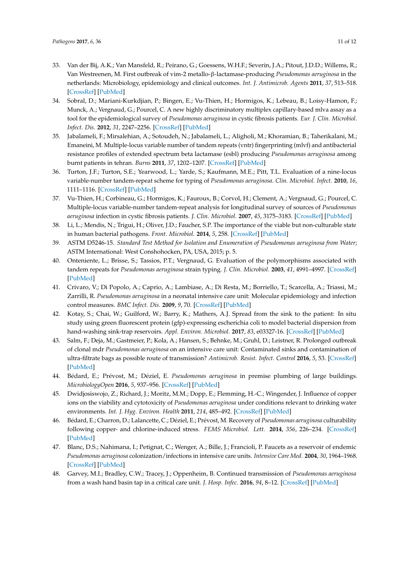- <span id="page-10-0"></span>33. Van der Bij, A.K.; Van Mansfeld, R.; Peirano, G.; Goessens, W.H.F.; Severin, J.A.; Pitout, J.D.D.; Willems, R.; Van Westreenen, M. First outbreak of vim-2 metallo-β-lactamase-producing *Pseudomonas aeruginosa* in the netherlands: Microbiology, epidemiology and clinical outcomes. *Int. J. Antimicrob. Agents* **2011**, *37*, 513–518. [\[CrossRef\]](http://dx.doi.org/10.1016/j.ijantimicag.2011.02.010) [\[PubMed\]](http://www.ncbi.nlm.nih.gov/pubmed/21497065)
- <span id="page-10-2"></span>34. Sobral, D.; Mariani-Kurkdjian, P.; Bingen, E.; Vu-Thien, H.; Hormigos, K.; Lebeau, B.; Loisy-Hamon, F.; Munck, A.; Vergnaud, G.; Pourcel, C. A new highly discriminatory multiplex capillary-based mlva assay as a tool for the epidemiological survey of *Pseudomonas aeruginosa* in cystic fibrosis patients. *Eur. J. Clin. Microbiol. Infect. Dis.* **2012**, *31*, 2247–2256. [\[CrossRef\]](http://dx.doi.org/10.1007/s10096-012-1562-5) [\[PubMed\]](http://www.ncbi.nlm.nih.gov/pubmed/22327344)
- <span id="page-10-1"></span>35. Jabalameli, F.; Mirsalehian, A.; Sotoudeh, N.; Jabalameli, L.; Aligholi, M.; Khoramian, B.; Taherikalani, M.; Emaneini, M. Multiple-locus variable number of tandem repeats (vntr) fingerprinting (mlvf) and antibacterial resistance profiles of extended spectrum beta lactamase (esbl) producing *Pseudomonas aeruginosa* among burnt patients in tehran. *Burns* **2011**, *37*, 1202–1207. [\[CrossRef\]](http://dx.doi.org/10.1016/j.burns.2011.05.012) [\[PubMed\]](http://www.ncbi.nlm.nih.gov/pubmed/21703769)
- <span id="page-10-3"></span>36. Turton, J.F.; Turton, S.E.; Yearwood, L.; Yarde, S.; Kaufmann, M.E.; Pitt, T.L. Evaluation of a nine-locus variable-number tandem-repeat scheme for typing of *Pseudomonas aeruginosa*. *Clin. Microbiol. Infect.* **2010**, *16*, 1111–1116. [\[CrossRef\]](http://dx.doi.org/10.1111/j.1469-0691.2009.03049.x) [\[PubMed\]](http://www.ncbi.nlm.nih.gov/pubmed/19732093)
- <span id="page-10-4"></span>37. Vu-Thien, H.; Corbineau, G.; Hormigos, K.; Fauroux, B.; Corvol, H.; Clement, A.; Vergnaud, G.; Pourcel, C. Multiple-locus variable-number tandem-repeat analysis for longitudinal survey of sources of *Pseudomonas aeruginosa* infection in cystic fibrosis patients. *J. Clin. Microbiol.* **2007**, *45*, 3175–3183. [\[CrossRef\]](http://dx.doi.org/10.1128/JCM.00702-07) [\[PubMed\]](http://www.ncbi.nlm.nih.gov/pubmed/17699654)
- <span id="page-10-5"></span>38. Li, L.; Mendis, N.; Trigui, H.; Oliver, J.D.; Faucher, S.P. The importance of the viable but non-culturable state in human bacterial pathogens. *Front. Microbiol.* **2014**, *5*, 258. [\[CrossRef\]](http://dx.doi.org/10.3389/fmicb.2014.00258) [\[PubMed\]](http://www.ncbi.nlm.nih.gov/pubmed/24917854)
- <span id="page-10-6"></span>39. ASTM D5246-15. *Standard Test Method for Isolation and Enumeration of Pseudomonas aeruginosa from Water*; ASTM International: West Conshohocken, PA, USA, 2015; p. 5.
- <span id="page-10-7"></span>40. Onteniente, L.; Brisse, S.; Tassios, P.T.; Vergnaud, G. Evaluation of the polymorphisms associated with tandem repeats for *Pseudomonas aeruginosa* strain typing. *J. Clin. Microbiol.* **2003**, *41*, 4991–4997. [\[CrossRef\]](http://dx.doi.org/10.1128/JCM.41.11.4991-4997.2003) [\[PubMed\]](http://www.ncbi.nlm.nih.gov/pubmed/14605129)
- <span id="page-10-8"></span>41. Crivaro, V.; Di Popolo, A.; Caprio, A.; Lambiase, A.; Di Resta, M.; Borriello, T.; Scarcella, A.; Triassi, M.; Zarrilli, R. *Pseudomonas aeruginosa* in a neonatal intensive care unit: Molecular epidemiology and infection control measures. *BMC Infect. Dis.* **2009**, *9*, 70. [\[CrossRef\]](http://dx.doi.org/10.1186/1471-2334-9-70) [\[PubMed\]](http://www.ncbi.nlm.nih.gov/pubmed/19463153)
- <span id="page-10-9"></span>42. Kotay, S.; Chai, W.; Guilford, W.; Barry, K.; Mathers, A.J. Spread from the sink to the patient: In situ study using green fluorescent protein (gfp)-expressing escherichia coli to model bacterial dispersion from hand-washing sink-trap reservoirs. *Appl. Environ. Microbiol.* **2017**, *83*, e03327-16. [\[CrossRef\]](http://dx.doi.org/10.1128/AEM.03327-16) [\[PubMed\]](http://www.ncbi.nlm.nih.gov/pubmed/28235877)
- <span id="page-10-10"></span>43. Salm, F.; Deja, M.; Gastmeier, P.; Kola, A.; Hansen, S.; Behnke, M.; Gruhl, D.; Leistner, R. Prolonged outbreak of clonal mdr *Pseudomonas aeruginosa* on an intensive care unit: Contaminated sinks and contamination of ultra-filtrate bags as possible route of transmission? *Antimicrob. Resist. Infect. Control* **2016**, *5*, 53. [\[CrossRef\]](http://dx.doi.org/10.1186/s13756-016-0157-9) [\[PubMed\]](http://www.ncbi.nlm.nih.gov/pubmed/27980730)
- <span id="page-10-11"></span>44. Bédard, E.; Prévost, M.; Déziel, E. *Pseudomonas aeruginosa* in premise plumbing of large buildings. *MicrobiologyOpen* **2016**, *5*, 937–956. [\[CrossRef\]](http://dx.doi.org/10.1002/mbo3.391) [\[PubMed\]](http://www.ncbi.nlm.nih.gov/pubmed/27353357)
- <span id="page-10-12"></span>45. Dwidjosiswojo, Z.; Richard, J.; Moritz, M.M.; Dopp, E.; Flemming, H.-C.; Wingender, J. Influence of copper ions on the viability and cytotoxicity of *Pseudomonas aeruginosa* under conditions relevant to drinking water environments. *Int. J. Hyg. Environ. Health* **2011**, *214*, 485–492. [\[CrossRef\]](http://dx.doi.org/10.1016/j.ijheh.2011.06.004) [\[PubMed\]](http://www.ncbi.nlm.nih.gov/pubmed/21742552)
- <span id="page-10-13"></span>46. Bédard, E.; Charron, D.; Lalancette, C.; Déziel, E.; Prévost, M. Recovery of *Pseudomonas aeruginosa* culturability following copper- and chlorine-induced stress. *FEMS Microbiol. Lett.* **2014**, *356*, 226–234. [\[CrossRef\]](http://dx.doi.org/10.1111/1574-6968.12494) [\[PubMed\]](http://www.ncbi.nlm.nih.gov/pubmed/24893953)
- <span id="page-10-14"></span>47. Blanc, D.S.; Nahimana, I.; Petignat, C.; Wenger, A.; Bille, J.; Francioli, P. Faucets as a reservoir of endemic *Pseudomonas aeruginosa* colonization/infections in intensive care units. *Intensive Care Med.* **2004**, *30*, 1964–1968. [\[CrossRef\]](http://dx.doi.org/10.1007/s00134-004-2389-z) [\[PubMed\]](http://www.ncbi.nlm.nih.gov/pubmed/15257431)
- <span id="page-10-15"></span>48. Garvey, M.I.; Bradley, C.W.; Tracey, J.; Oppenheim, B. Continued transmission of *Pseudomonas aeruginosa* from a wash hand basin tap in a critical care unit. *J. Hosp. Infec.* **2016**, *94*, 8–12. [\[CrossRef\]](http://dx.doi.org/10.1016/j.jhin.2016.05.004) [\[PubMed\]](http://www.ncbi.nlm.nih.gov/pubmed/27249962)